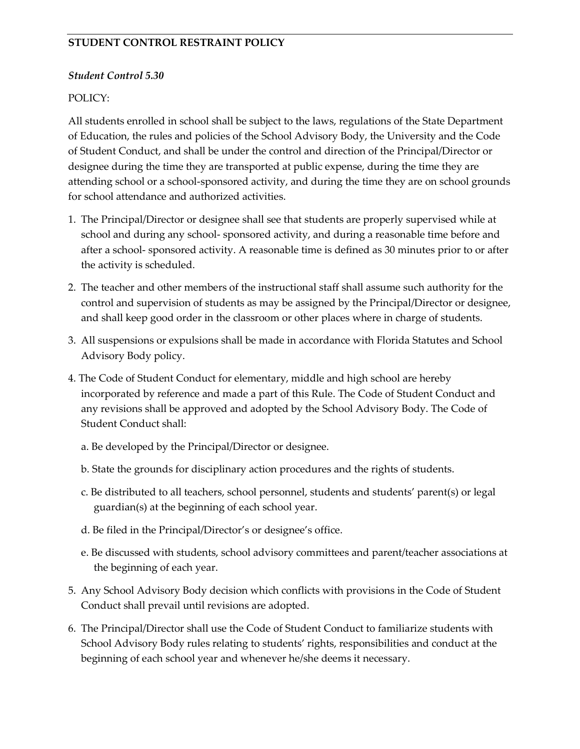## **STUDENT CONTROL RESTRAINT POLICY**

## *Student Control 5.30*

## POLICY:

All students enrolled in school shall be subject to the laws, regulations of the State Department of Education, the rules and policies of the School Advisory Body, the University and the Code of Student Conduct, and shall be under the control and direction of the Principal/Director or designee during the time they are transported at public expense, during the time they are attending school or a school-sponsored activity, and during the time they are on school grounds for school attendance and authorized activities.

- 1. The Principal/Director or designee shall see that students are properly supervised while at school and during any school- sponsored activity, and during a reasonable time before and after a school- sponsored activity. A reasonable time is defined as 30 minutes prior to or after the activity is scheduled.
- 2. The teacher and other members of the instructional staff shall assume such authority for the control and supervision of students as may be assigned by the Principal/Director or designee, and shall keep good order in the classroom or other places where in charge of students.
- 3. All suspensions or expulsions shall be made in accordance with Florida Statutes and School Advisory Body policy.
- 4. The Code of Student Conduct for elementary, middle and high school are hereby incorporated by reference and made a part of this Rule. The Code of Student Conduct and any revisions shall be approved and adopted by the School Advisory Body. The Code of Student Conduct shall:
	- a. Be developed by the Principal/Director or designee.
	- b. State the grounds for disciplinary action procedures and the rights of students.
	- c. Be distributed to all teachers, school personnel, students and students' parent(s) or legal guardian(s) at the beginning of each school year.
	- d. Be filed in the Principal/Director's or designee's office.
	- e. Be discussed with students, school advisory committees and parent/teacher associations at the beginning of each year.
- 5. Any School Advisory Body decision which conflicts with provisions in the Code of Student Conduct shall prevail until revisions are adopted.
- 6. The Principal/Director shall use the Code of Student Conduct to familiarize students with School Advisory Body rules relating to students' rights, responsibilities and conduct at the beginning of each school year and whenever he/she deems it necessary.